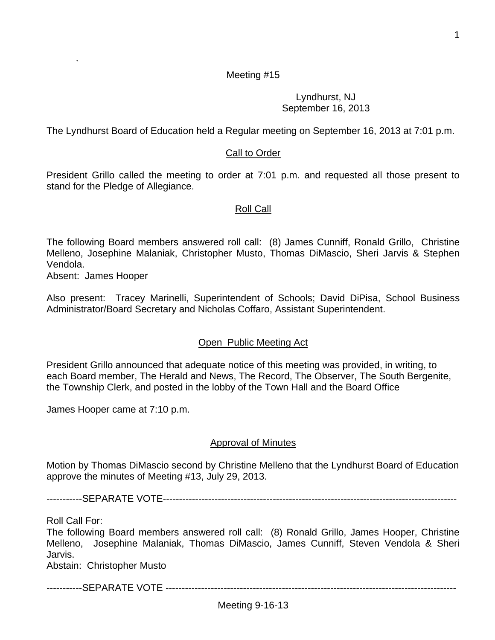1

## Meeting #15

#### Lyndhurst, NJ September 16, 2013

The Lyndhurst Board of Education held a Regular meeting on September 16, 2013 at 7:01 p.m.

### Call to Order

President Grillo called the meeting to order at 7:01 p.m. and requested all those present to stand for the Pledge of Allegiance.

#### Roll Call

The following Board members answered roll call: (8) James Cunniff, Ronald Grillo, Christine Melleno, Josephine Malaniak, Christopher Musto, Thomas DiMascio, Sheri Jarvis & Stephen Vendola.

Absent: James Hooper

`

Also present: Tracey Marinelli, Superintendent of Schools; David DiPisa, School Business Administrator/Board Secretary and Nicholas Coffaro, Assistant Superintendent.

#### Open Public Meeting Act

President Grillo announced that adequate notice of this meeting was provided, in writing, to each Board member, The Herald and News, The Record, The Observer, The South Bergenite, the Township Clerk, and posted in the lobby of the Town Hall and the Board Office

James Hooper came at 7:10 p.m.

#### Approval of Minutes

Motion by Thomas DiMascio second by Christine Melleno that the Lyndhurst Board of Education approve the minutes of Meeting #13, July 29, 2013.

-----------SEPARATE VOTE-------------------------------------------------------------------------------------------

Roll Call For:

The following Board members answered roll call: (8) Ronald Grillo, James Hooper, Christine Melleno, Josephine Malaniak, Thomas DiMascio, James Cunniff, Steven Vendola & Sheri Jarvis.

Abstain: Christopher Musto

-----------SEPARATE VOTE ------------------------------------------------------------------------------------------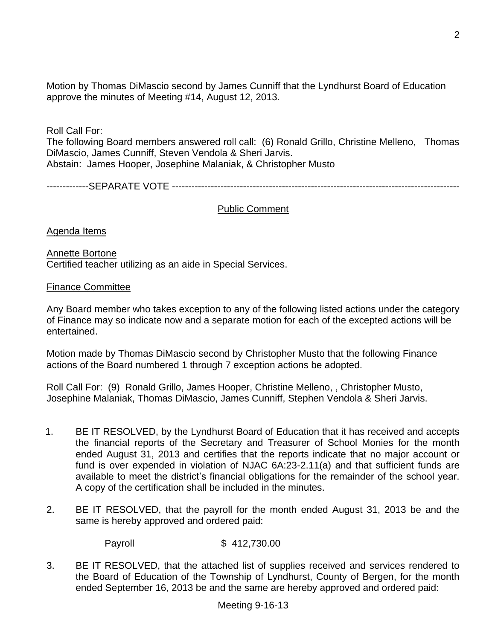Motion by Thomas DiMascio second by James Cunniff that the Lyndhurst Board of Education approve the minutes of Meeting #14, August 12, 2013.

Roll Call For:

The following Board members answered roll call: (6) Ronald Grillo, Christine Melleno, Thomas DiMascio, James Cunniff, Steven Vendola & Sheri Jarvis. Abstain: James Hooper, Josephine Malaniak, & Christopher Musto

-------------SEPARATE VOTE -----------------------------------------------------------------------------------------

## Public Comment

Agenda Items

Annette Bortone Certified teacher utilizing as an aide in Special Services.

Finance Committee

Any Board member who takes exception to any of the following listed actions under the category of Finance may so indicate now and a separate motion for each of the excepted actions will be entertained.

Motion made by Thomas DiMascio second by Christopher Musto that the following Finance actions of the Board numbered 1 through 7 exception actions be adopted.

Roll Call For: (9) Ronald Grillo, James Hooper, Christine Melleno, , Christopher Musto, Josephine Malaniak, Thomas DiMascio, James Cunniff, Stephen Vendola & Sheri Jarvis.

- 1. BE IT RESOLVED, by the Lyndhurst Board of Education that it has received and accepts the financial reports of the Secretary and Treasurer of School Monies for the month ended August 31, 2013 and certifies that the reports indicate that no major account or fund is over expended in violation of NJAC 6A:23-2.11(a) and that sufficient funds are available to meet the district's financial obligations for the remainder of the school year. A copy of the certification shall be included in the minutes.
- 2. BE IT RESOLVED, that the payroll for the month ended August 31, 2013 be and the same is hereby approved and ordered paid:

Payroll \$ 412,730.00

3. BE IT RESOLVED, that the attached list of supplies received and services rendered to the Board of Education of the Township of Lyndhurst, County of Bergen, for the month ended September 16, 2013 be and the same are hereby approved and ordered paid: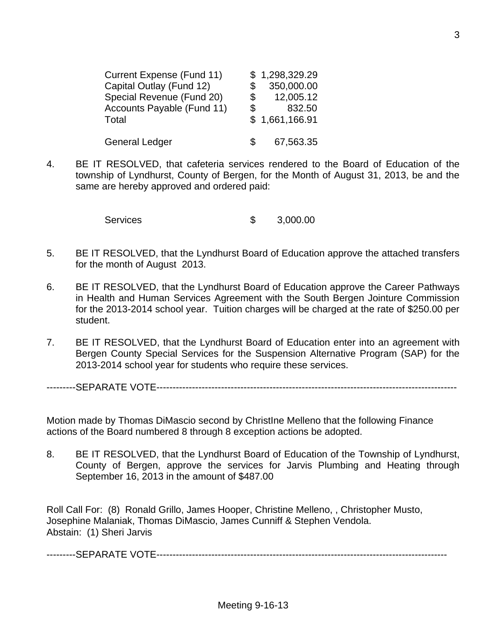| Current Expense (Fund 11)  |                | \$1,298,329.29 |  |
|----------------------------|----------------|----------------|--|
| Capital Outlay (Fund 12)   | \$             | 350,000.00     |  |
| Special Revenue (Fund 20)  | $\mathbb{S}^-$ | 12,005.12      |  |
| Accounts Payable (Fund 11) | \$             | 832.50         |  |
| Total                      |                | \$1,661,166.91 |  |
| <b>General Ledger</b>      | S.             | 67,563.35      |  |

4. BE IT RESOLVED, that cafeteria services rendered to the Board of Education of the township of Lyndhurst, County of Bergen, for the Month of August 31, 2013, be and the same are hereby approved and ordered paid:

Services \$ 3,000.00

- 5. BE IT RESOLVED, that the Lyndhurst Board of Education approve the attached transfers for the month of August 2013.
- 6. BE IT RESOLVED, that the Lyndhurst Board of Education approve the Career Pathways in Health and Human Services Agreement with the South Bergen Jointure Commission for the 2013-2014 school year. Tuition charges will be charged at the rate of \$250.00 per student.
- 7. BE IT RESOLVED, that the Lyndhurst Board of Education enter into an agreement with Bergen County Special Services for the Suspension Alternative Program (SAP) for the 2013-2014 school year for students who require these services.

---------SEPARATE VOTE---------------------------------------------------------------------------------------------

Motion made by Thomas DiMascio second by ChristIne Melleno that the following Finance actions of the Board numbered 8 through 8 exception actions be adopted.

8. BE IT RESOLVED, that the Lyndhurst Board of Education of the Township of Lyndhurst, County of Bergen, approve the services for Jarvis Plumbing and Heating through September 16, 2013 in the amount of \$487.00

Roll Call For: (8) Ronald Grillo, James Hooper, Christine Melleno, , Christopher Musto, Josephine Malaniak, Thomas DiMascio, James Cunniff & Stephen Vendola. Abstain: (1) Sheri Jarvis

---------SEPARATE VOTE------------------------------------------------------------------------------------------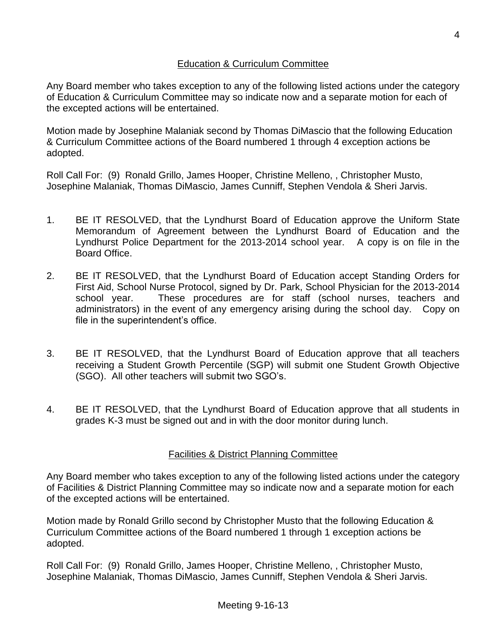# Education & Curriculum Committee

Any Board member who takes exception to any of the following listed actions under the category of Education & Curriculum Committee may so indicate now and a separate motion for each of the excepted actions will be entertained.

Motion made by Josephine Malaniak second by Thomas DiMascio that the following Education & Curriculum Committee actions of the Board numbered 1 through 4 exception actions be adopted.

Roll Call For: (9) Ronald Grillo, James Hooper, Christine Melleno, , Christopher Musto, Josephine Malaniak, Thomas DiMascio, James Cunniff, Stephen Vendola & Sheri Jarvis.

- 1. BE IT RESOLVED, that the Lyndhurst Board of Education approve the Uniform State Memorandum of Agreement between the Lyndhurst Board of Education and the Lyndhurst Police Department for the 2013-2014 school year. A copy is on file in the Board Office.
- 2. BE IT RESOLVED, that the Lyndhurst Board of Education accept Standing Orders for First Aid, School Nurse Protocol, signed by Dr. Park, School Physician for the 2013-2014 school year. These procedures are for staff (school nurses, teachers and administrators) in the event of any emergency arising during the school day. Copy on file in the superintendent's office.
- 3. BE IT RESOLVED, that the Lyndhurst Board of Education approve that all teachers receiving a Student Growth Percentile (SGP) will submit one Student Growth Objective (SGO). All other teachers will submit two SGO's.
- 4. BE IT RESOLVED, that the Lyndhurst Board of Education approve that all students in grades K-3 must be signed out and in with the door monitor during lunch.

# Facilities & District Planning Committee

Any Board member who takes exception to any of the following listed actions under the category of Facilities & District Planning Committee may so indicate now and a separate motion for each of the excepted actions will be entertained.

Motion made by Ronald Grillo second by Christopher Musto that the following Education & Curriculum Committee actions of the Board numbered 1 through 1 exception actions be adopted.

Roll Call For: (9) Ronald Grillo, James Hooper, Christine Melleno, , Christopher Musto, Josephine Malaniak, Thomas DiMascio, James Cunniff, Stephen Vendola & Sheri Jarvis.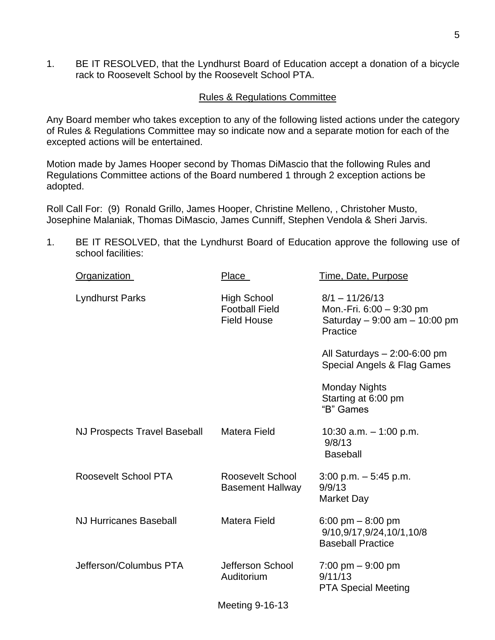1. BE IT RESOLVED, that the Lyndhurst Board of Education accept a donation of a bicycle rack to Roosevelt School by the Roosevelt School PTA.

#### Rules & Regulations Committee

Any Board member who takes exception to any of the following listed actions under the category of Rules & Regulations Committee may so indicate now and a separate motion for each of the excepted actions will be entertained.

Motion made by James Hooper second by Thomas DiMascio that the following Rules and Regulations Committee actions of the Board numbered 1 through 2 exception actions be adopted.

Roll Call For: (9) Ronald Grillo, James Hooper, Christine Melleno, , Christoher Musto, Josephine Malaniak, Thomas DiMascio, James Cunniff, Stephen Vendola & Sheri Jarvis.

1. BE IT RESOLVED, that the Lyndhurst Board of Education approve the following use of school facilities:

| <b>Organization</b>                 | <u>Place</u>                                                      | Time, Date, Purpose                                                                       |
|-------------------------------------|-------------------------------------------------------------------|-------------------------------------------------------------------------------------------|
| <b>Lyndhurst Parks</b>              | <b>High School</b><br><b>Football Field</b><br><b>Field House</b> | $8/1 - 11/26/13$<br>Mon.-Fri. 6:00 - 9:30 pm<br>Saturday - 9:00 am - 10:00 pm<br>Practice |
|                                     |                                                                   | All Saturdays $-2:00-6:00$ pm<br>Special Angels & Flag Games                              |
|                                     |                                                                   | <b>Monday Nights</b><br>Starting at 6:00 pm<br>"B" Games                                  |
| <b>NJ Prospects Travel Baseball</b> | <b>Matera Field</b>                                               | 10:30 a.m. $-$ 1:00 p.m.<br>9/8/13<br><b>Baseball</b>                                     |
| Roosevelt School PTA                | Roosevelt School<br><b>Basement Hallway</b>                       | $3:00$ p.m. $-5:45$ p.m.<br>9/9/13<br><b>Market Day</b>                                   |
| <b>NJ Hurricanes Baseball</b>       | <b>Matera Field</b>                                               | 6:00 pm $-$ 8:00 pm<br>9/10,9/17,9/24,10/1,10/8<br><b>Baseball Practice</b>               |
| Jefferson/Columbus PTA              | Jefferson School<br>Auditorium                                    | $7:00 \text{ pm} - 9:00 \text{ pm}$<br>9/11/13<br><b>PTA Special Meeting</b>              |
|                                     | 11.11.01101010                                                    |                                                                                           |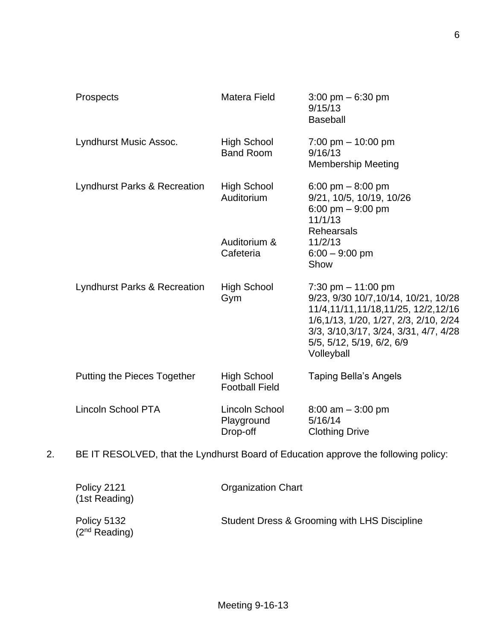| Prospects                          | Matera Field                                | $3:00 \text{ pm} - 6:30 \text{ pm}$<br>9/15/13<br><b>Baseball</b>                                                                                                                                                                |
|------------------------------------|---------------------------------------------|----------------------------------------------------------------------------------------------------------------------------------------------------------------------------------------------------------------------------------|
| Lyndhurst Music Assoc.             | High School<br><b>Band Room</b>             | $7:00 \text{ pm} - 10:00 \text{ pm}$<br>9/16/13<br><b>Membership Meeting</b>                                                                                                                                                     |
| Lyndhurst Parks & Recreation       | <b>High School</b><br>Auditorium            | 6:00 pm $-$ 8:00 pm<br>9/21, 10/5, 10/19, 10/26<br>6:00 pm $-9:00$ pm<br>11/1/13<br><b>Rehearsals</b>                                                                                                                            |
|                                    | Auditorium &<br>Cafeteria                   | 11/2/13<br>$6:00 - 9:00$ pm<br>Show                                                                                                                                                                                              |
| Lyndhurst Parks & Recreation       | <b>High School</b><br>Gym                   | 7:30 pm $-$ 11:00 pm<br>9/23, 9/30 10/7, 10/14, 10/21, 10/28<br>11/4,11/11,11/18,11/25, 12/2,12/16<br>1/6,1/13, 1/20, 1/27, 2/3, 2/10, 2/24<br>3/3, 3/10, 3/17, 3/24, 3/31, 4/7, 4/28<br>5/5, 5/12, 5/19, 6/2, 6/9<br>Volleyball |
| <b>Putting the Pieces Together</b> | <b>High School</b><br><b>Football Field</b> | <b>Taping Bella's Angels</b>                                                                                                                                                                                                     |
| <b>Lincoln School PTA</b>          | Lincoln School<br>Playground<br>Drop-off    | $8:00$ am $-3:00$ pm<br>5/16/14<br><b>Clothing Drive</b>                                                                                                                                                                         |

2. BE IT RESOLVED, that the Lyndhurst Board of Education approve the following policy:

| Policy 2121<br>(1st Reading)      | <b>Organization Chart</b>                    |
|-----------------------------------|----------------------------------------------|
| Policy 5132<br>$(2^{nd}$ Reading) | Student Dress & Grooming with LHS Discipline |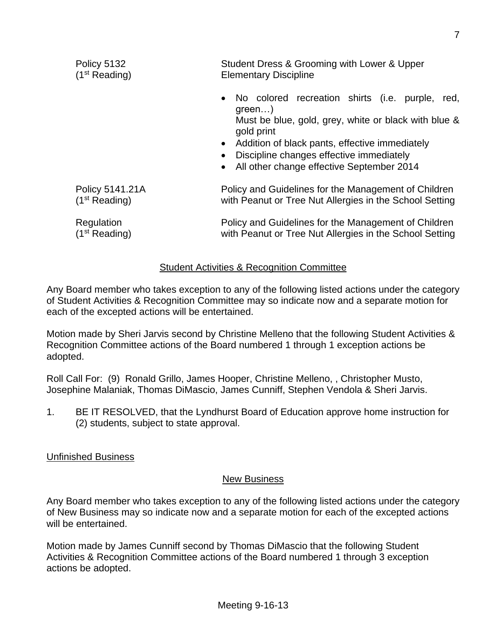| Policy 5132               | Student Dress & Grooming with Lower & Upper                                                                                                                                                                                                                                                            |
|---------------------------|--------------------------------------------------------------------------------------------------------------------------------------------------------------------------------------------------------------------------------------------------------------------------------------------------------|
| (1 <sup>st</sup> Reading) | <b>Elementary Discipline</b>                                                                                                                                                                                                                                                                           |
|                           | • No colored recreation shirts (i.e.<br>purple,<br>red,<br>$green$ )<br>Must be blue, gold, grey, white or black with blue &<br>gold print<br>• Addition of black pants, effective immediately<br>Discipline changes effective immediately<br>$\bullet$<br>• All other change effective September 2014 |
| Policy 5141.21A           | Policy and Guidelines for the Management of Children                                                                                                                                                                                                                                                   |
| (1 <sup>st</sup> Reading) | with Peanut or Tree Nut Allergies in the School Setting                                                                                                                                                                                                                                                |
| Regulation                | Policy and Guidelines for the Management of Children                                                                                                                                                                                                                                                   |
| (1 <sup>st</sup> Reading) | with Peanut or Tree Nut Allergies in the School Setting                                                                                                                                                                                                                                                |

## Student Activities & Recognition Committee

Any Board member who takes exception to any of the following listed actions under the category of Student Activities & Recognition Committee may so indicate now and a separate motion for each of the excepted actions will be entertained.

Motion made by Sheri Jarvis second by Christine Melleno that the following Student Activities & Recognition Committee actions of the Board numbered 1 through 1 exception actions be adopted.

Roll Call For: (9) Ronald Grillo, James Hooper, Christine Melleno, , Christopher Musto, Josephine Malaniak, Thomas DiMascio, James Cunniff, Stephen Vendola & Sheri Jarvis.

1. BE IT RESOLVED, that the Lyndhurst Board of Education approve home instruction for (2) students, subject to state approval.

#### Unfinished Business

#### New Business

Any Board member who takes exception to any of the following listed actions under the category of New Business may so indicate now and a separate motion for each of the excepted actions will be entertained.

Motion made by James Cunniff second by Thomas DiMascio that the following Student Activities & Recognition Committee actions of the Board numbered 1 through 3 exception actions be adopted.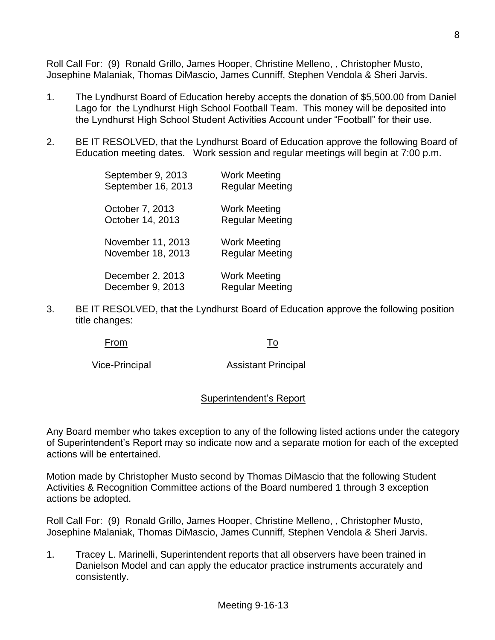Roll Call For: (9) Ronald Grillo, James Hooper, Christine Melleno, , Christopher Musto, Josephine Malaniak, Thomas DiMascio, James Cunniff, Stephen Vendola & Sheri Jarvis.

- 1. The Lyndhurst Board of Education hereby accepts the donation of \$5,500.00 from Daniel Lago for the Lyndhurst High School Football Team. This money will be deposited into the Lyndhurst High School Student Activities Account under "Football" for their use.
- 2. BE IT RESOLVED, that the Lyndhurst Board of Education approve the following Board of Education meeting dates. Work session and regular meetings will begin at 7:00 p.m.

| September 9, 2013  | Work Meeting           |
|--------------------|------------------------|
| September 16, 2013 | <b>Regular Meeting</b> |
| October 7, 2013    | <b>Work Meeting</b>    |
| October 14, 2013   | <b>Regular Meeting</b> |
| November 11, 2013  | <b>Work Meeting</b>    |
| November 18, 2013  | <b>Regular Meeting</b> |
| December 2, 2013   | Work Meeting           |
| December 9, 2013   | <b>Regular Meeting</b> |

3. BE IT RESOLVED, that the Lyndhurst Board of Education approve the following position title changes:

From To

Vice-Principal Assistant Principal

# Superintendent's Report

Any Board member who takes exception to any of the following listed actions under the category of Superintendent's Report may so indicate now and a separate motion for each of the excepted actions will be entertained.

Motion made by Christopher Musto second by Thomas DiMascio that the following Student Activities & Recognition Committee actions of the Board numbered 1 through 3 exception actions be adopted.

Roll Call For: (9) Ronald Grillo, James Hooper, Christine Melleno, , Christopher Musto, Josephine Malaniak, Thomas DiMascio, James Cunniff, Stephen Vendola & Sheri Jarvis.

1. Tracey L. Marinelli, Superintendent reports that all observers have been trained in Danielson Model and can apply the educator practice instruments accurately and consistently.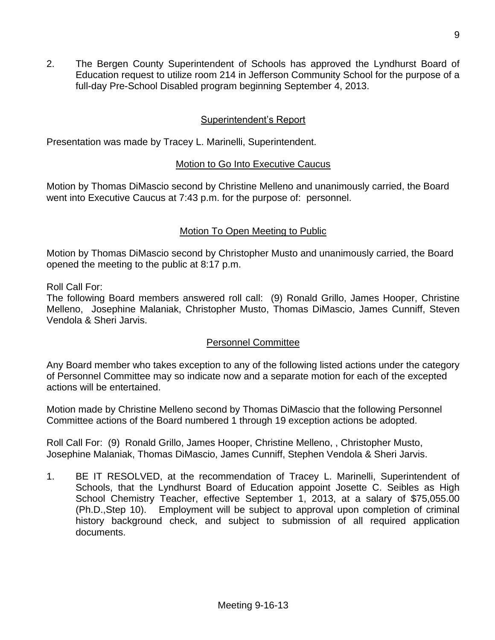2. The Bergen County Superintendent of Schools has approved the Lyndhurst Board of Education request to utilize room 214 in Jefferson Community School for the purpose of a full-day Pre-School Disabled program beginning September 4, 2013.

# Superintendent's Report

Presentation was made by Tracey L. Marinelli, Superintendent.

## Motion to Go Into Executive Caucus

Motion by Thomas DiMascio second by Christine Melleno and unanimously carried, the Board went into Executive Caucus at 7:43 p.m. for the purpose of: personnel.

## Motion To Open Meeting to Public

Motion by Thomas DiMascio second by Christopher Musto and unanimously carried, the Board opened the meeting to the public at 8:17 p.m.

Roll Call For:

The following Board members answered roll call: (9) Ronald Grillo, James Hooper, Christine Melleno, Josephine Malaniak, Christopher Musto, Thomas DiMascio, James Cunniff, Steven Vendola & Sheri Jarvis.

# Personnel Committee

Any Board member who takes exception to any of the following listed actions under the category of Personnel Committee may so indicate now and a separate motion for each of the excepted actions will be entertained.

Motion made by Christine Melleno second by Thomas DiMascio that the following Personnel Committee actions of the Board numbered 1 through 19 exception actions be adopted.

Roll Call For: (9) Ronald Grillo, James Hooper, Christine Melleno, , Christopher Musto, Josephine Malaniak, Thomas DiMascio, James Cunniff, Stephen Vendola & Sheri Jarvis.

1. BE IT RESOLVED, at the recommendation of Tracey L. Marinelli, Superintendent of Schools, that the Lyndhurst Board of Education appoint Josette C. Seibles as High School Chemistry Teacher, effective September 1, 2013, at a salary of \$75,055.00 (Ph.D.,Step 10). Employment will be subject to approval upon completion of criminal history background check, and subject to submission of all required application documents.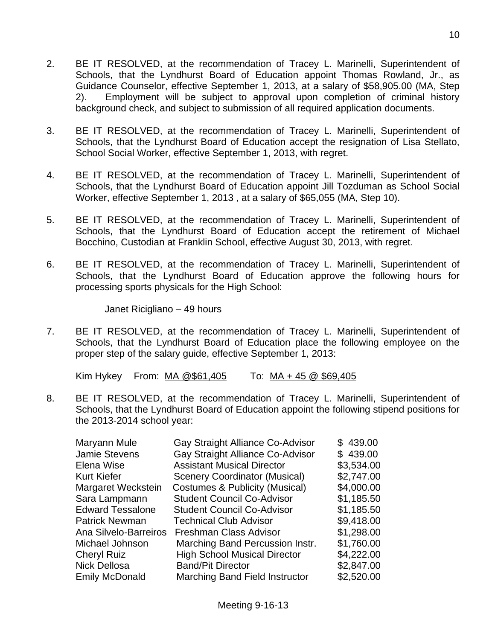- 2. BE IT RESOLVED, at the recommendation of Tracey L. Marinelli, Superintendent of Schools, that the Lyndhurst Board of Education appoint Thomas Rowland, Jr., as Guidance Counselor, effective September 1, 2013, at a salary of \$58,905.00 (MA, Step 2). Employment will be subject to approval upon completion of criminal history background check, and subject to submission of all required application documents.
- 3. BE IT RESOLVED, at the recommendation of Tracey L. Marinelli, Superintendent of Schools, that the Lyndhurst Board of Education accept the resignation of Lisa Stellato, School Social Worker, effective September 1, 2013, with regret.
- 4. BE IT RESOLVED, at the recommendation of Tracey L. Marinelli, Superintendent of Schools, that the Lyndhurst Board of Education appoint Jill Tozduman as School Social Worker, effective September 1, 2013 , at a salary of \$65,055 (MA, Step 10).
- 5. BE IT RESOLVED, at the recommendation of Tracey L. Marinelli, Superintendent of Schools, that the Lyndhurst Board of Education accept the retirement of Michael Bocchino, Custodian at Franklin School, effective August 30, 2013, with regret.
- 6. BE IT RESOLVED, at the recommendation of Tracey L. Marinelli, Superintendent of Schools, that the Lyndhurst Board of Education approve the following hours for processing sports physicals for the High School:

Janet Ricigliano – 49 hours

7. BE IT RESOLVED, at the recommendation of Tracey L. Marinelli, Superintendent of Schools, that the Lyndhurst Board of Education place the following employee on the proper step of the salary guide, effective September 1, 2013:

Kim Hykey From:  $MA @ $61,405$  To:  $MA + 45 @ $69,405$ 

8. BE IT RESOLVED, at the recommendation of Tracey L. Marinelli, Superintendent of Schools, that the Lyndhurst Board of Education appoint the following stipend positions for the 2013-2014 school year:

| Gay Straight Alliance Co-Advisor          | \$439.00   |
|-------------------------------------------|------------|
| Gay Straight Alliance Co-Advisor          | \$439.00   |
| <b>Assistant Musical Director</b>         | \$3,534.00 |
| <b>Scenery Coordinator (Musical)</b>      | \$2,747.00 |
| <b>Costumes &amp; Publicity (Musical)</b> | \$4,000.00 |
| <b>Student Council Co-Advisor</b>         | \$1,185.50 |
| <b>Student Council Co-Advisor</b>         | \$1,185.50 |
| <b>Technical Club Advisor</b>             | \$9,418.00 |
| Freshman Class Advisor                    | \$1,298.00 |
| Marching Band Percussion Instr.           | \$1,760.00 |
| <b>High School Musical Director</b>       | \$4,222.00 |
| <b>Band/Pit Director</b>                  | \$2,847.00 |
| <b>Marching Band Field Instructor</b>     | \$2,520.00 |
|                                           |            |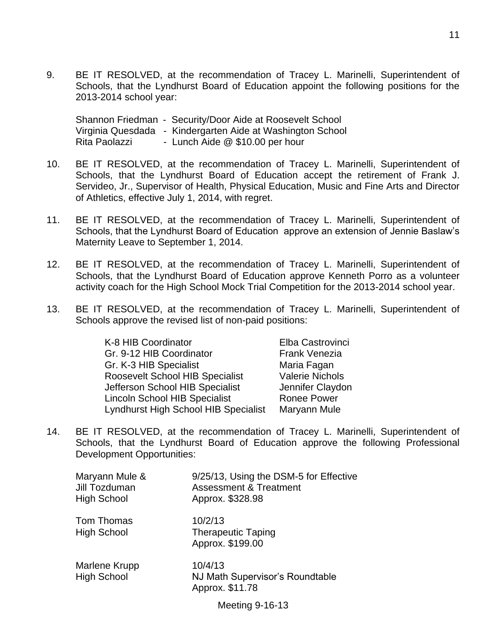9. BE IT RESOLVED, at the recommendation of Tracey L. Marinelli, Superintendent of Schools, that the Lyndhurst Board of Education appoint the following positions for the 2013-2014 school year:

Shannon Friedman - Security/Door Aide at Roosevelt School Virginia Quesdada - Kindergarten Aide at Washington School Rita Paolazzi - Lunch Aide @ \$10.00 per hour

- 10. BE IT RESOLVED, at the recommendation of Tracey L. Marinelli, Superintendent of Schools, that the Lyndhurst Board of Education accept the retirement of Frank J. Servideo, Jr., Supervisor of Health, Physical Education, Music and Fine Arts and Director of Athletics, effective July 1, 2014, with regret.
- 11. BE IT RESOLVED, at the recommendation of Tracey L. Marinelli, Superintendent of Schools, that the Lyndhurst Board of Education approve an extension of Jennie Baslaw's Maternity Leave to September 1, 2014.
- 12. BE IT RESOLVED, at the recommendation of Tracey L. Marinelli, Superintendent of Schools, that the Lyndhurst Board of Education approve Kenneth Porro as a volunteer activity coach for the High School Mock Trial Competition for the 2013-2014 school year.
- 13. BE IT RESOLVED, at the recommendation of Tracey L. Marinelli, Superintendent of Schools approve the revised list of non-paid positions:

| <b>Valerie Nichols</b> |
|------------------------|
| Jennifer Claydon       |
|                        |
|                        |
|                        |

14. BE IT RESOLVED, at the recommendation of Tracey L. Marinelli, Superintendent of Schools, that the Lyndhurst Board of Education approve the following Professional Development Opportunities:

| Maryann Mule &<br>Jill Tozduman<br><b>High School</b> | 9/25/13, Using the DSM-5 for Effective<br><b>Assessment &amp; Treatment</b><br>Approx. \$328.98 |
|-------------------------------------------------------|-------------------------------------------------------------------------------------------------|
| Tom Thomas<br><b>High School</b>                      | 10/2/13<br><b>Therapeutic Taping</b><br>Approx. \$199.00                                        |
| Marlene Krupp<br><b>High School</b>                   | 10/4/13<br>NJ Math Supervisor's Roundtable<br>Approx. \$11.78                                   |

Meeting 9-16-13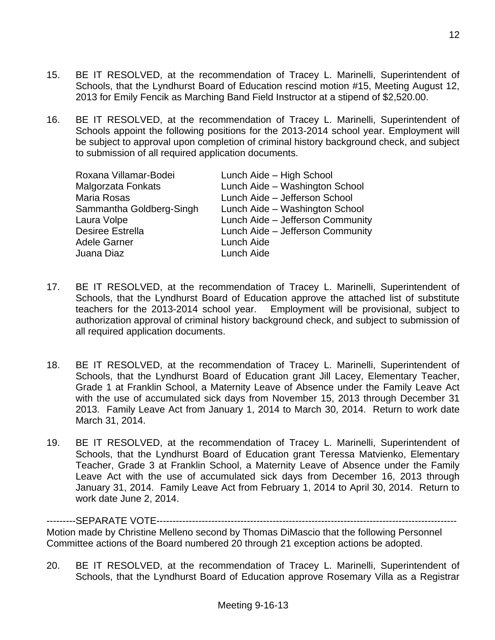- 15. BE IT RESOLVED, at the recommendation of Tracey L. Marinelli, Superintendent of Schools, that the Lyndhurst Board of Education rescind motion #15, Meeting August 12, 2013 for Emily Fencik as Marching Band Field Instructor at a stipend of \$2,520.00.
- 16. BE IT RESOLVED, at the recommendation of Tracey L. Marinelli, Superintendent of Schools appoint the following positions for the 2013-2014 school year. Employment will be subject to approval upon completion of criminal history background check, and subject to submission of all required application documents.

| Roxana Villamar-Bodei    | Lunch Aide - High School         |
|--------------------------|----------------------------------|
| Malgorzata Fonkats       | Lunch Aide - Washington School   |
| Maria Rosas              | Lunch Aide - Jefferson School    |
| Sammantha Goldberg-Singh | Lunch Aide - Washington School   |
| Laura Volpe              | Lunch Aide - Jefferson Community |
| <b>Desiree Estrella</b>  | Lunch Aide - Jefferson Community |
| <b>Adele Garner</b>      | Lunch Aide                       |
| Juana Diaz               | Lunch Aide                       |
|                          |                                  |

- 17. BE IT RESOLVED, at the recommendation of Tracey L. Marinelli, Superintendent of Schools, that the Lyndhurst Board of Education approve the attached list of substitute teachers for the 2013-2014 school year. Employment will be provisional, subject to authorization approval of criminal history background check, and subject to submission of all required application documents.
- 18. BE IT RESOLVED, at the recommendation of Tracey L. Marinelli, Superintendent of Schools, that the Lyndhurst Board of Education grant Jill Lacey, Elementary Teacher, Grade 1 at Franklin School, a Maternity Leave of Absence under the Family Leave Act with the use of accumulated sick days from November 15, 2013 through December 31 2013. Family Leave Act from January 1, 2014 to March 30, 2014. Return to work date March 31, 2014.
- 19. BE IT RESOLVED, at the recommendation of Tracey L. Marinelli, Superintendent of Schools, that the Lyndhurst Board of Education grant Teressa Matvienko, Elementary Teacher, Grade 3 at Franklin School, a Maternity Leave of Absence under the Family Leave Act with the use of accumulated sick days from December 16, 2013 through January 31, 2014. Family Leave Act from February 1, 2014 to April 30, 2014. Return to work date June 2, 2014.

---------SEPARATE VOTE--------------------Motion made by Christine Melleno second by Thomas DiMascio that the following Personnel Committee actions of the Board numbered 20 through 21 exception actions be adopted.

20. BE IT RESOLVED, at the recommendation of Tracey L. Marinelli, Superintendent of Schools, that the Lyndhurst Board of Education approve Rosemary Villa as a Registrar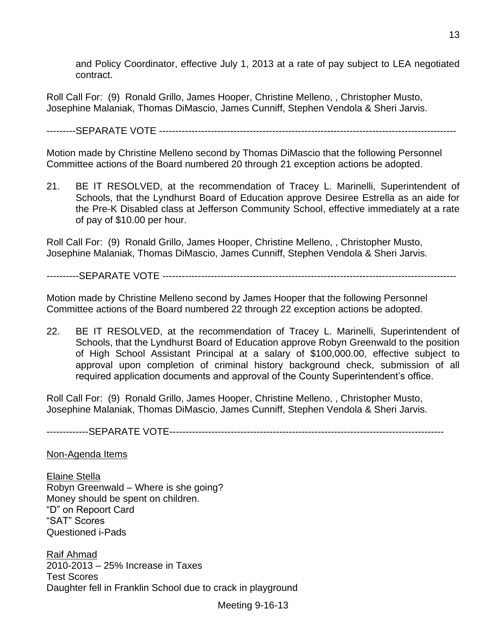and Policy Coordinator, effective July 1, 2013 at a rate of pay subject to LEA negotiated contract.

Roll Call For: (9) Ronald Grillo, James Hooper, Christine Melleno, , Christopher Musto, Josephine Malaniak, Thomas DiMascio, James Cunniff, Stephen Vendola & Sheri Jarvis.

---------SEPARATE VOTE --------------------------------------------------------------------------------------------

Motion made by Christine Melleno second by Thomas DiMascio that the following Personnel Committee actions of the Board numbered 20 through 21 exception actions be adopted.

21. BE IT RESOLVED, at the recommendation of Tracey L. Marinelli, Superintendent of Schools, that the Lyndhurst Board of Education approve Desiree Estrella as an aide for the Pre-K Disabled class at Jefferson Community School, effective immediately at a rate of pay of \$10.00 per hour.

Roll Call For: (9) Ronald Grillo, James Hooper, Christine Melleno, , Christopher Musto, Josephine Malaniak, Thomas DiMascio, James Cunniff, Stephen Vendola & Sheri Jarvis.

----------SEPARATE VOTE -------------------------------------------------------------------------------------------

Motion made by Christine Melleno second by James Hooper that the following Personnel Committee actions of the Board numbered 22 through 22 exception actions be adopted.

22. BE IT RESOLVED, at the recommendation of Tracey L. Marinelli, Superintendent of Schools, that the Lyndhurst Board of Education approve Robyn Greenwald to the position of High School Assistant Principal at a salary of \$100,000.00, effective subject to approval upon completion of criminal history background check, submission of all required application documents and approval of the County Superintendent's office.

Roll Call For: (9) Ronald Grillo, James Hooper, Christine Melleno, , Christopher Musto, Josephine Malaniak, Thomas DiMascio, James Cunniff, Stephen Vendola & Sheri Jarvis.

-------------SEPARATE VOTE-------------------------------------------------------------------------------------

Non-Agenda Items

Elaine Stella Robyn Greenwald – Where is she going? Money should be spent on children. "D" on Repoort Card "SAT" Scores Questioned i-Pads

Raif Ahmad 2010-2013 – 25% Increase in Taxes Test Scores Daughter fell in Franklin School due to crack in playground

Meeting 9-16-13